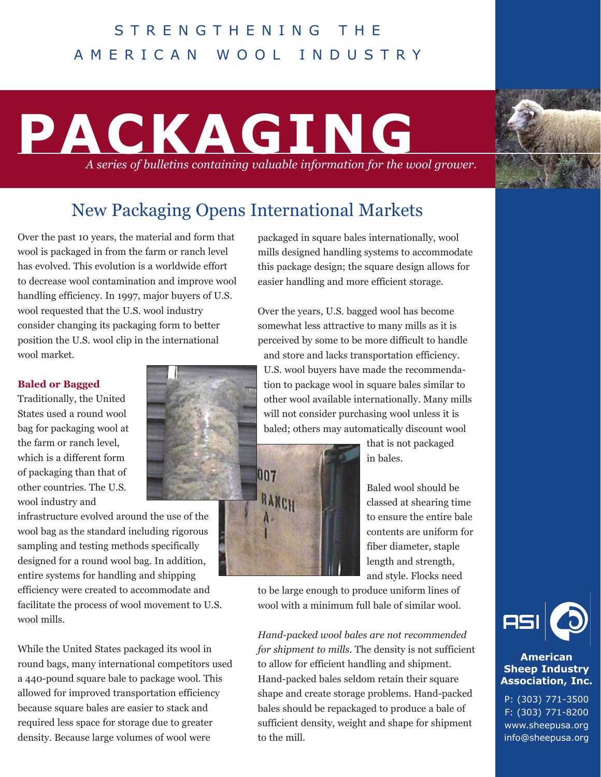### STRENGTHENING THE AMERICAN WOOL INDUSTRY

## **PACKAGING** *A series of bulletins containing valuable information for the wool grower.*



## New Packaging Opens International Markets

Over the past 10 years, the material and form that wool is packaged in from the farm or ranch level has evolved. This evolution is a worldwide effort to decrease wool contamination and improve wool handling efficiency. In 1997, major buyers of U.S. wool requested that the U.S. wool industry consider changing its packaging form to better position the U.S. wool clip in the international wool market.

#### **Baled or Bagged**

Traditionally, the United States used a round wool bag for packaging wool at the farm or ranch level, which is a different form of packaging than that of other countries. The U.S. wool industry and

infrastructure evolved around the use of the wool bag as the standard including rigorous sampling and testing methods specifically designed for a round wool bag. In addition, entire systems for handling and shipping efficiency were created to accommodate and

facilitate the process of wool movement to U.S. wool mills.

While the United States packaged its wool in round bags, many international competitors used a 440-pound square bale to package wool. This allowed for improved transportation efficiency because square bales are easier to stack and required less space for storage due to greater density. Because large volumes of wool were

packaged in square bales internationally, wool mills designed handling systems to accommodate this package design; the square design allows for easier handling and more efficient storage.

Over the years, U.S. bagged wool has become somewhat less attractive to many mills as it is perceived by some to be more difficult to handle and store and lacks transportation efficiency. U.S. wool buyers have made the recommendation to package wool in square bales similar to other wool available internationally. Many mills will not consider purchasing wool unless it is baled; others may automatically discount wool



that is not packaged in bales.

Baled wool should be classed at shearing time to ensure the entire bale contents are uniform for fiber diameter, staple length and strength, and style. Flocks need

to be large enough to produce uniform lines of wool with a minimum full bale of similar wool.

*Hand-packed wool bales are not recommended for shipment to mills*. The density is not sufficient to allow for efficient handling and shipment. Hand-packed bales seldom retain their square shape and create storage problems. Hand-packed bales should be repackaged to produce a bale of sufficient density, weight and shape for shipment to the mill.



#### **American Sheep Industry Association, Inc.**

P: (303) 771-3500 F: (303) 771-8200 www.sheepusa.org info@sheepusa.org